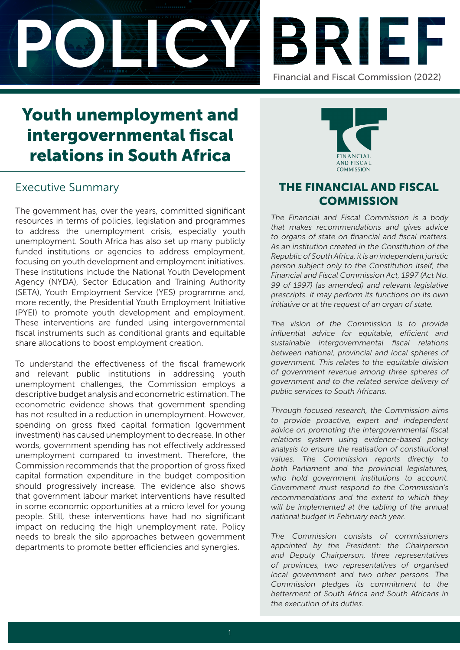



# Youth unemployment and intergovernmental fiscal relations in South Africa

# Executive Summary

The government has, over the years, committed significant resources in terms of policies, legislation and programmes to address the unemployment crisis, especially youth unemployment. South Africa has also set up many publicly funded institutions or agencies to address employment, focusing on youth development and employment initiatives. These institutions include the National Youth Development Agency (NYDA), Sector Education and Training Authority (SETA), Youth Employment Service (YES) programme and, more recently, the Presidential Youth Employment Initiative (PYEI) to promote youth development and employment. These interventions are funded using intergovernmental fiscal instruments such as conditional grants and equitable share allocations to boost employment creation.

To understand the effectiveness of the fiscal framework and relevant public institutions in addressing youth unemployment challenges, the Commission employs a descriptive budget analysis and econometric estimation. The econometric evidence shows that government spending has not resulted in a reduction in unemployment. However, spending on gross fixed capital formation (government investment) has caused unemployment to decrease. In other words, government spending has not effectively addressed unemployment compared to investment. Therefore, the Commission recommends that the proportion of gross fixed capital formation expenditure in the budget composition should progressively increase. The evidence also shows that government labour market interventions have resulted in some economic opportunities at a micro level for young people. Still, these interventions have had no significant impact on reducing the high unemployment rate. Policy needs to break the silo approaches between government departments to promote better efficiencies and synergies.



# THE FINANCIAL AND FISCAL **COMMISSION**

The Financial and Fiscal Commission is a body that makes recommendations and gives advice to organs of state on financial and fiscal matters. As an institution created in the Constitution of the Republic of South Africa, it is an independent juristic person subject only to the Constitution itself, the Financial and Fiscal Commission Act, 1997 (Act No. 99 of 1997) (as amended) and relevant legislative prescripts. It may perform its functions on its own initiative or at the request of an organ of state.

The vision of the Commission is to provide influential advice for equitable, efficient and sustainable intergovernmental fiscal relations between national, provincial and local spheres of government. This relates to the equitable division of government revenue among three spheres of government and to the related service delivery of public services to South Africans.

Through focused research, the Commission aims to provide proactive, expert and independent advice on promoting the intergovernmental fiscal relations system using evidence-based policy analysis to ensure the realisation of constitutional values. The Commission reports directly to both Parliament and the provincial legislatures, who hold government institutions to account. Government must respond to the Commission's recommendations and the extent to which they will be implemented at the tabling of the annual national budget in February each year.

The Commission consists of commissioners appointed by the President: the Chairperson and Deputy Chairperson, three representatives of provinces, two representatives of organised local government and two other persons. The Commission pledges its commitment to the betterment of South Africa and South Africans in the execution of its duties.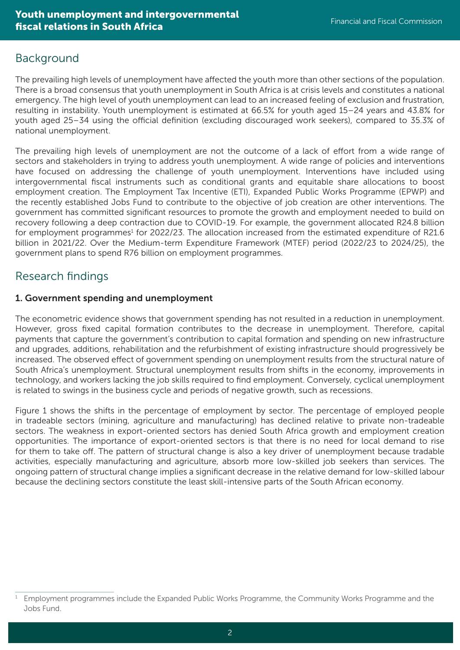# Background

The prevailing high levels of unemployment have affected the youth more than other sections of the population. There is a broad consensus that youth unemployment in South Africa is at crisis levels and constitutes a national emergency. The high level of youth unemployment can lead to an increased feeling of exclusion and frustration, resulting in instability. Youth unemployment is estimated at 66.5% for youth aged 15–24 years and 43.8% for youth aged 25–34 using the official definition (excluding discouraged work seekers), compared to 35.3% of national unemployment.

The prevailing high levels of unemployment are not the outcome of a lack of effort from a wide range of sectors and stakeholders in trying to address youth unemployment. A wide range of policies and interventions have focused on addressing the challenge of youth unemployment. Interventions have included using intergovernmental fiscal instruments such as conditional grants and equitable share allocations to boost employment creation. The Employment Tax Incentive (ETI), Expanded Public Works Programme (EPWP) and the recently established Jobs Fund to contribute to the objective of job creation are other interventions. The government has committed significant resources to promote the growth and employment needed to build on recovery following a deep contraction due to COVID-19. For example, the government allocated R24.8 billion for employment programmes<sup>1</sup> for 2022/23. The allocation increased from the estimated expenditure of R21.6 billion in 2021/22. Over the Medium-term Expenditure Framework (MTEF) period (2022/23 to 2024/25), the government plans to spend R76 billion on employment programmes.

# Research findings

## 1. Government spending and unemployment

The econometric evidence shows that government spending has not resulted in a reduction in unemployment. However, gross fixed capital formation contributes to the decrease in unemployment. Therefore, capital payments that capture the government's contribution to capital formation and spending on new infrastructure and upgrades, additions, rehabilitation and the refurbishment of existing infrastructure should progressively be increased. The observed effect of government spending on unemployment results from the structural nature of South Africa's unemployment. Structural unemployment results from shifts in the economy, improvements in technology, and workers lacking the job skills required to find employment. Conversely, cyclical unemployment is related to swings in the business cycle and periods of negative growth, such as recessions.

Figure 1 shows the shifts in the percentage of employment by sector. The percentage of employed people in tradeable sectors (mining, agriculture and manufacturing) has declined relative to private non-tradeable sectors. The weakness in export-oriented sectors has denied South Africa growth and employment creation opportunities. The importance of export-oriented sectors is that there is no need for local demand to rise for them to take off. The pattern of structural change is also a key driver of unemployment because tradable activities, especially manufacturing and agriculture, absorb more low-skilled job seekers than services. The ongoing pattern of structural change implies a significant decrease in the relative demand for low-skilled labour because the declining sectors constitute the least skill-intensive parts of the South African economy.

<sup>1</sup> Employment programmes include the Expanded Public Works Programme, the Community Works Programme and the Jobs Fund.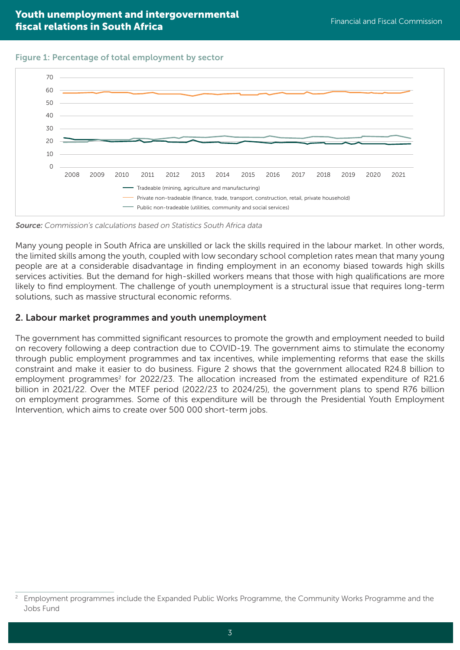Figure 1: Percentage of total employment by sector



Source: Commission's calculations based on Statistics South Africa data

Many young people in South Africa are unskilled or lack the skills required in the labour market. In other words, the limited skills among the youth, coupled with low secondary school completion rates mean that many young people are at a considerable disadvantage in finding employment in an economy biased towards high skills services activities. But the demand for high-skilled workers means that those with high qualifications are more likely to find employment. The challenge of youth unemployment is a structural issue that requires long-term solutions, such as massive structural economic reforms.

## 2. Labour market programmes and youth unemployment

The government has committed significant resources to promote the growth and employment needed to build on recovery following a deep contraction due to COVID-19. The government aims to stimulate the economy through public employment programmes and tax incentives, while implementing reforms that ease the skills constraint and make it easier to do business. Figure 2 shows that the government allocated R24.8 billion to employment programmes<sup>2</sup> for 2022/23. The allocation increased from the estimated expenditure of R21.6 billion in 2021/22. Over the MTEF period (2022/23 to 2024/25), the government plans to spend R76 billion on employment programmes. Some of this expenditure will be through the Presidential Youth Employment Intervention, which aims to create over 500 000 short-term jobs.

<sup>2</sup> Employment programmes include the Expanded Public Works Programme, the Community Works Programme and the Jobs Fund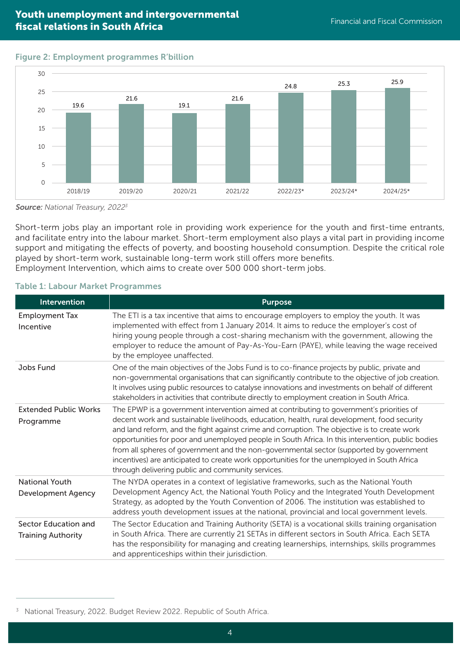## **Financial and intergovernmental Pouth unemployment and intergovernmental** Financial and Fiscal Commission fiscal relations in South Africa

## Figure 2: Employment programmes R'billion



Source: National Treasury, 2022<sup>3</sup>

Short-term jobs play an important role in providing work experience for the youth and first-time entrants, and facilitate entry into the labour market. Short-term employment also plays a vital part in providing income support and mitigating the effects of poverty, and boosting household consumption. Despite the critical role played by short-term work, sustainable long-term work still offers more benefits. Employment Intervention, which aims to create over 500 000 short-term jobs.

### Table 1: Labour Market Programmes

| <b>Intervention</b>                                | <b>Purpose</b>                                                                                                                                                                                                                                                                                                                                                                                                                                                                                                                                                                                                                                |
|----------------------------------------------------|-----------------------------------------------------------------------------------------------------------------------------------------------------------------------------------------------------------------------------------------------------------------------------------------------------------------------------------------------------------------------------------------------------------------------------------------------------------------------------------------------------------------------------------------------------------------------------------------------------------------------------------------------|
| <b>Employment Tax</b><br>Incentive                 | The ETI is a tax incentive that aims to encourage employers to employ the youth. It was<br>implemented with effect from 1 January 2014. It aims to reduce the employer's cost of<br>hiring young people through a cost-sharing mechanism with the government, allowing the<br>employer to reduce the amount of Pay-As-You-Earn (PAYE), while leaving the wage received<br>by the employee unaffected.                                                                                                                                                                                                                                         |
| Jobs Fund                                          | One of the main objectives of the Jobs Fund is to co-finance projects by public, private and<br>non-governmental organisations that can significantly contribute to the objective of job creation.<br>It involves using public resources to catalyse innovations and investments on behalf of different<br>stakeholders in activities that contribute directly to employment creation in South Africa.                                                                                                                                                                                                                                        |
| <b>Extended Public Works</b><br>Programme          | The EPWP is a government intervention aimed at contributing to government's priorities of<br>decent work and sustainable livelihoods, education, health, rural development, food security<br>and land reform, and the fight against crime and corruption. The objective is to create work<br>opportunities for poor and unemployed people in South Africa. In this intervention, public bodies<br>from all spheres of government and the non-governmental sector (supported by government<br>incentives) are anticipated to create work opportunities for the unemployed in South Africa<br>through delivering public and community services. |
| <b>National Youth</b><br><b>Development Agency</b> | The NYDA operates in a context of legislative frameworks, such as the National Youth<br>Development Agency Act, the National Youth Policy and the Integrated Youth Development<br>Strategy, as adopted by the Youth Convention of 2006. The institution was established to<br>address youth development issues at the national, provincial and local government levels.                                                                                                                                                                                                                                                                       |
| Sector Education and<br><b>Training Authority</b>  | The Sector Education and Training Authority (SETA) is a vocational skills training organisation<br>in South Africa. There are currently 21 SETAs in different sectors in South Africa. Each SETA<br>has the responsibility for managing and creating learnerships, internships, skills programmes<br>and apprenticeships within their jurisdiction.                                                                                                                                                                                                                                                                                           |

<sup>&</sup>lt;sup>3</sup> National Treasury, 2022. Budget Review 2022. Republic of South Africa.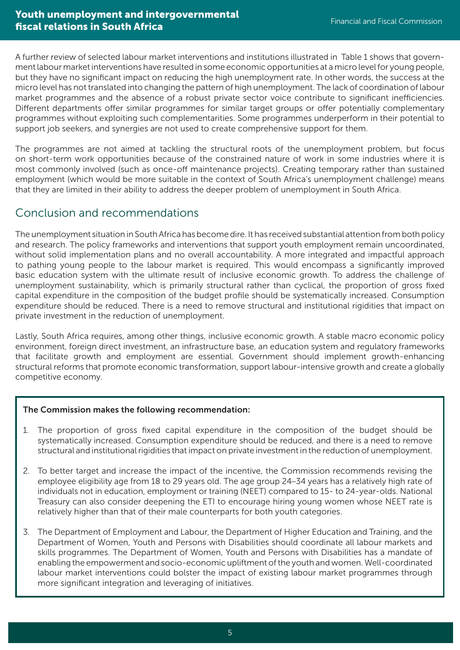A further review of selected labour market interventions and institutions illustrated in Table 1 shows that government labour market interventions have resulted in some economic opportunities at a micro level for young people, but they have no significant impact on reducing the high unemployment rate. In other words, the success at the micro level has not translated into changing the pattern of high unemployment. The lack of coordination of labour market programmes and the absence of a robust private sector voice contribute to significant inefficiencies. Different departments offer similar programmes for similar target groups or offer potentially complementary programmes without exploiting such complementarities. Some programmes underperform in their potential to support job seekers, and synergies are not used to create comprehensive support for them.

The programmes are not aimed at tackling the structural roots of the unemployment problem, but focus on short-term work opportunities because of the constrained nature of work in some industries where it is most commonly involved (such as once-off maintenance projects). Creating temporary rather than sustained employment (which would be more suitable in the context of South Africa's unemployment challenge) means that they are limited in their ability to address the deeper problem of unemployment in South Africa.

## Conclusion and recommendations

The unemployment situation in South Africa has become dire. It has received substantial attention from both policy and research. The policy frameworks and interventions that support youth employment remain uncoordinated, without solid implementation plans and no overall accountability. A more integrated and impactful approach to pathing young people to the labour market is required. This would encompass a significantly improved basic education system with the ultimate result of inclusive economic growth. To address the challenge of unemployment sustainability, which is primarily structural rather than cyclical, the proportion of gross fixed capital expenditure in the composition of the budget profile should be systematically increased. Consumption expenditure should be reduced. There is a need to remove structural and institutional rigidities that impact on private investment in the reduction of unemployment.

Lastly, South Africa requires, among other things, inclusive economic growth. A stable macro economic policy environment, foreign direct investment, an infrastructure base, an education system and regulatory frameworks that facilitate growth and employment are essential. Government should implement growth-enhancing structural reforms that promote economic transformation, support labour-intensive growth and create a globally competitive economy.

## The Commission makes the following recommendation:

- 1. The proportion of gross fixed capital expenditure in the composition of the budget should be systematically increased. Consumption expenditure should be reduced, and there is a need to remove structural and institutional rigidities that impact on private investment in the reduction of unemployment.
- 2. To better target and increase the impact of the incentive, the Commission recommends revising the employee eligibility age from 18 to 29 years old. The age group 24–34 years has a relatively high rate of individuals not in education, employment or training (NEET) compared to 15- to 24-year-olds. National Treasury can also consider deepening the ETI to encourage hiring young women whose NEET rate is relatively higher than that of their male counterparts for both youth categories.
- 3. The Department of Employment and Labour, the Department of Higher Education and Training, and the Department of Women, Youth and Persons with Disabilities should coordinate all labour markets and skills programmes. The Department of Women, Youth and Persons with Disabilities has a mandate of enabling the empowerment and socio-economic upliftment of the youth and women. Well-coordinated labour market interventions could bolster the impact of existing labour market programmes through more significant integration and leveraging of initiatives.